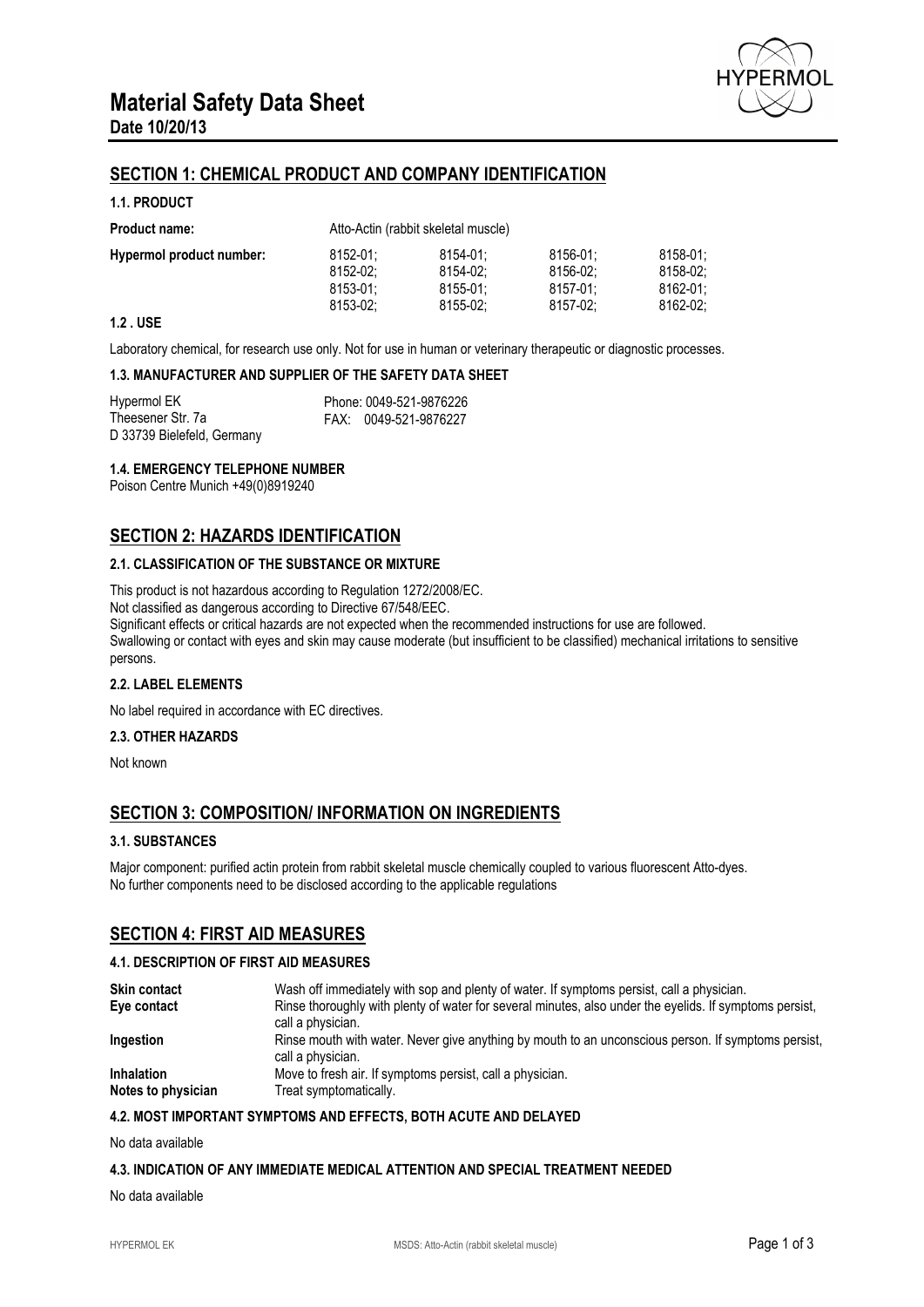

# **SECTION 1: CHEMICAL PRODUCT AND COMPANY IDENTIFICATION**

## **1.1. PRODUCT**

| <b>Product name:</b>     | Atto-Actin (rabbit skeletal muscle) |               |          |          |
|--------------------------|-------------------------------------|---------------|----------|----------|
| Hypermol product number: | 8152-01:                            | 8154-01:      | 8156-01: | 8158-01: |
|                          | 8152-02:                            | 8154-02:      | 8156-02: | 8158-02: |
|                          | $8153 - 01$ :                       | $8155 - 01$ : | 8157-01: | 8162-01: |
|                          | 8153-02:                            | 8155-02:      | 8157-02: | 8162-02: |

## **1.2 . USE**

Laboratory chemical, for research use only. Not for use in human or veterinary therapeutic or diagnostic processes.

## **1.3. MANUFACTURER AND SUPPLIER OF THE SAFETY DATA SHEET**

| Hypermol EK                | Phone: 0049-521-9876226 |
|----------------------------|-------------------------|
| Theesener Str. 7a          | FAX: 0049-521-9876227   |
| D 33739 Bielefeld, Germany |                         |

## **1.4. EMERGENCY TELEPHONE NUMBER**

Poison Centre Munich +49(0)8919240

# **SECTION 2: HAZARDS IDENTIFICATION**

## **2.1. CLASSIFICATION OF THE SUBSTANCE OR MIXTURE**

This product is not hazardous according to Regulation 1272/2008/EC. Not classified as dangerous according to Directive 67/548/EEC. Significant effects or critical hazards are not expected when the recommended instructions for use are followed. Swallowing or contact with eyes and skin may cause moderate (but insufficient to be classified) mechanical irritations to sensitive persons.

#### **2.2. LABEL ELEMENTS**

No label required in accordance with EC directives.

#### **2.3. OTHER HAZARDS**

Not known

# **SECTION 3: COMPOSITION/ INFORMATION ON INGREDIENTS**

## **3.1. SUBSTANCES**

Major component: purified actin protein from rabbit skeletal muscle chemically coupled to various fluorescent Atto-dyes. No further components need to be disclosed according to the applicable regulations

## **SECTION 4: FIRST AID MEASURES**

#### **4.1. DESCRIPTION OF FIRST AID MEASURES**

| <b>Skin contact</b> | Wash off immediately with sop and plenty of water. If symptoms persist, call a physician.                                    |
|---------------------|------------------------------------------------------------------------------------------------------------------------------|
| Eye contact         | Rinse thoroughly with plenty of water for several minutes, also under the eyelids. If symptoms persist,<br>call a physician. |
| Ingestion           | Rinse mouth with water. Never give anything by mouth to an unconscious person. If symptoms persist,<br>call a physician.     |
| <b>Inhalation</b>   | Move to fresh air. If symptoms persist, call a physician.                                                                    |
| Notes to physician  | Treat symptomatically.                                                                                                       |

#### **4.2. MOST IMPORTANT SYMPTOMS AND EFFECTS, BOTH ACUTE AND DELAYED**

No data available

#### **4.3. INDICATION OF ANY IMMEDIATE MEDICAL ATTENTION AND SPECIAL TREATMENT NEEDED**

No data available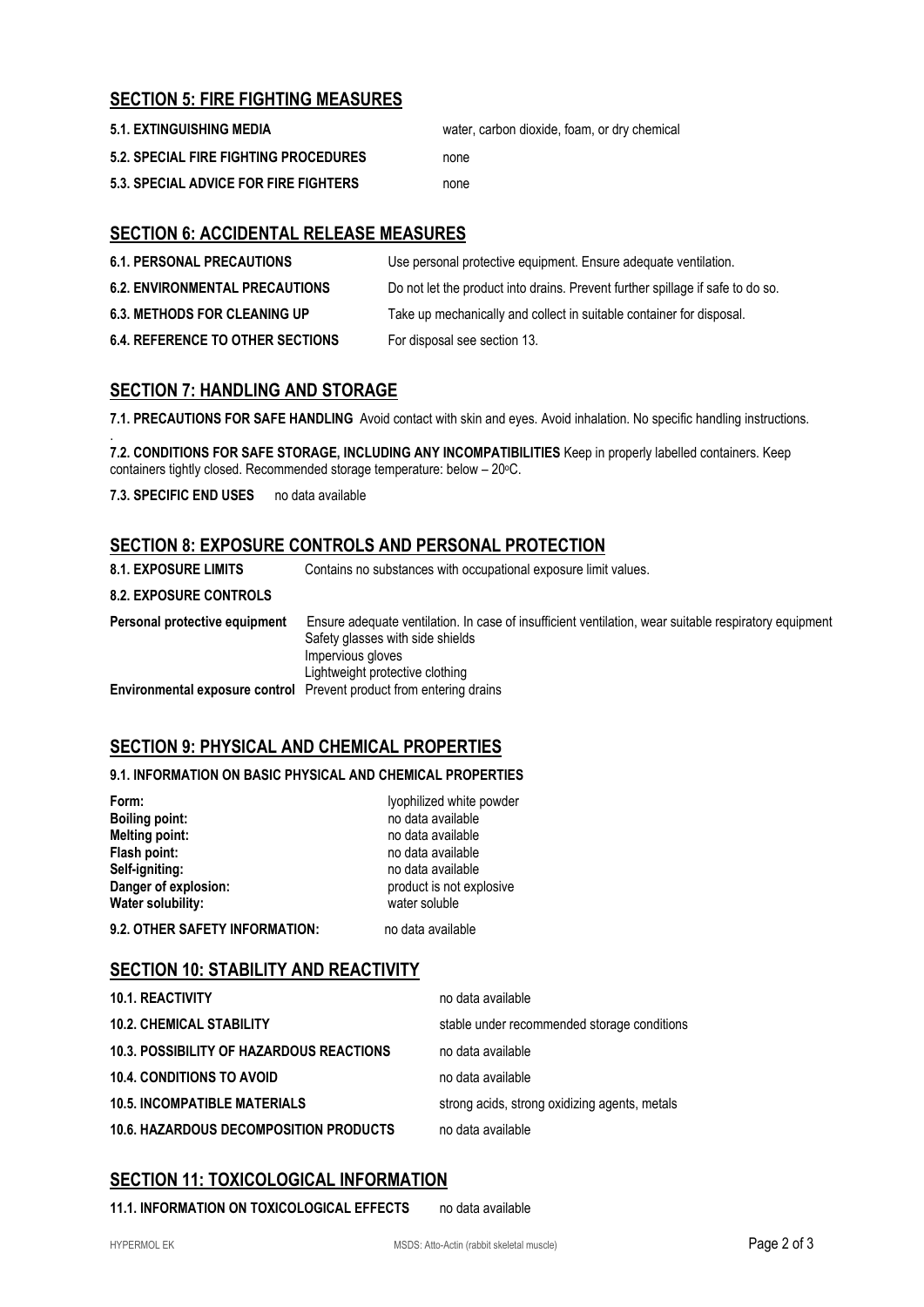# **SECTION 5: FIRE FIGHTING MEASURES**

| <b>5.1. EXTINGUISHING MEDIA</b>              | water, carbon dioxide, foam, or dry chemical |
|----------------------------------------------|----------------------------------------------|
| <b>5.2. SPECIAL FIRE FIGHTING PROCEDURES</b> | none                                         |
| 5.3. SPECIAL ADVICE FOR FIRE FIGHTERS        | none                                         |

# **SECTION 6: ACCIDENTAL RELEASE MEASURES**

| <b>6.1. PERSONAL PRECAUTIONS</b>        | Use personal protective equipment. Ensure adequate ventilation.                |
|-----------------------------------------|--------------------------------------------------------------------------------|
| <b>6.2. ENVIRONMENTAL PRECAUTIONS</b>   | Do not let the product into drains. Prevent further spillage if safe to do so. |
| <b>6.3. METHODS FOR CLEANING UP</b>     | Take up mechanically and collect in suitable container for disposal.           |
| <b>6.4. REFERENCE TO OTHER SECTIONS</b> | For disposal see section 13.                                                   |

# **SECTION 7: HANDLING AND STORAGE**

**7.1. PRECAUTIONS FOR SAFE HANDLING** Avoid contact with skin and eyes. Avoid inhalation. No specific handling instructions.

. **7.2. CONDITIONS FOR SAFE STORAGE, INCLUDING ANY INCOMPATIBILITIES** Keep in properly labelled containers. Keep containers tightly closed. Recommended storage temperature: below - 20°C.

**7.3. SPECIFIC END USES** no data available

# **SECTION 8: EXPOSURE CONTROLS AND PERSONAL PROTECTION**

| <b>8.1. EXPOSURE LIMITS</b>   | Contains no substances with occupational exposure limit values.                                                                                                                                   |
|-------------------------------|---------------------------------------------------------------------------------------------------------------------------------------------------------------------------------------------------|
| <b>8.2. EXPOSURE CONTROLS</b> |                                                                                                                                                                                                   |
| Personal protective equipment | Ensure adequate ventilation. In case of insufficient ventilation, wear suitable respiratory equipment<br>Safety glasses with side shields<br>Impervious gloves<br>Lightweight protective clothing |
|                               | <b>Environmental exposure control</b> Prevent product from entering drains                                                                                                                        |

# **SECTION 9: PHYSICAL AND CHEMICAL PROPERTIES**

## **9.1. INFORMATION ON BASIC PHYSICAL AND CHEMICAL PROPERTIES**

| Form:                          | lyophilized white powder |
|--------------------------------|--------------------------|
| <b>Boiling point:</b>          | no data available        |
| <b>Melting point:</b>          | no data available        |
| Flash point:                   | no data available        |
| Self-igniting:                 | no data available        |
| Danger of explosion:           | product is not explosive |
| Water solubility:              | water soluble            |
| 9.2. OTHER SAFETY INFORMATION: | no data available        |

**SECTION 10: STABILITY AND REACTIVITY**

| <b>10.1. REACTIVITY</b>                         | no data available                             |
|-------------------------------------------------|-----------------------------------------------|
| <b>10.2. CHEMICAL STABILITY</b>                 | stable under recommended storage conditions   |
| <b>10.3. POSSIBILITY OF HAZARDOUS REACTIONS</b> | no data available                             |
| <b>10.4. CONDITIONS TO AVOID</b>                | no data available                             |
| <b>10.5. INCOMPATIBLE MATERIALS</b>             | strong acids, strong oxidizing agents, metals |
| <b>10.6. HAZARDOUS DECOMPOSITION PRODUCTS</b>   | no data available                             |

# **SECTION 11: TOXICOLOGICAL INFORMATION**

**11.1. INFORMATION ON TOXICOLOGICAL EFFECTS** no data available